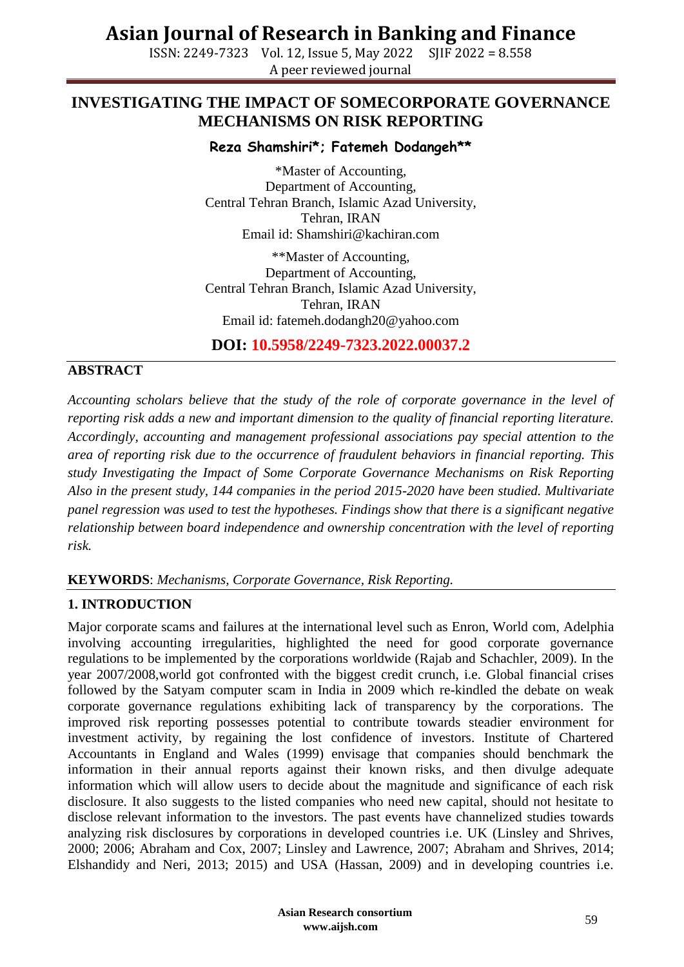ISSN: 2249-7323 Vol. 12, Issue 5, May 2022 SJIF 2022 = 8.558 A peer reviewed journal

## **INVESTIGATING THE IMPACT OF SOMECORPORATE GOVERNANCE MECHANISMS ON RISK REPORTING**

## **Reza Shamshiri\*; Fatemeh Dodangeh\*\***

\*Master of Accounting, Department of Accounting, Central Tehran Branch, Islamic Azad University, Tehran, IRAN Email id: Shamshiri@kachiran.com

\*\*Master of Accounting, Department of Accounting, Central Tehran Branch, Islamic Azad University, Tehran, IRAN Email id: fatemeh.dodangh20@yahoo.com

**DOI: 10.5958/2249-7323.2022.00037.2**

## **ABSTRACT**

*Accounting scholars believe that the study of the role of corporate governance in the level of reporting risk adds a new and important dimension to the quality of financial reporting literature. Accordingly, accounting and management professional associations pay special attention to the area of reporting risk due to the occurrence of fraudulent behaviors in financial reporting. This study Investigating the Impact of Some Corporate Governance Mechanisms on Risk Reporting Also in the present study, 144 companies in the period 2015-2020 have been studied. Multivariate panel regression was used to test the hypotheses. Findings show that there is a significant negative relationship between board independence and ownership concentration with the level of reporting risk.*

**KEYWORDS**: *Mechanisms, Corporate Governance, Risk Reporting.*

## **1. INTRODUCTION**

Major corporate scams and failures at the international level such as Enron, World com, Adelphia involving accounting irregularities, highlighted the need for good corporate governance regulations to be implemented by the corporations worldwide (Rajab and Schachler, 2009). In the year 2007/2008,world got confronted with the biggest credit crunch, i.e. Global financial crises followed by the Satyam computer scam in India in 2009 which re-kindled the debate on weak corporate governance regulations exhibiting lack of transparency by the corporations. The improved risk reporting possesses potential to contribute towards steadier environment for investment activity, by regaining the lost confidence of investors. Institute of Chartered Accountants in England and Wales (1999) envisage that companies should benchmark the information in their annual reports against their known risks, and then divulge adequate information which will allow users to decide about the magnitude and significance of each risk disclosure. It also suggests to the listed companies who need new capital, should not hesitate to disclose relevant information to the investors. The past events have channelized studies towards analyzing risk disclosures by corporations in developed countries i.e. UK (Linsley and Shrives, 2000; 2006; Abraham and Cox, 2007; Linsley and Lawrence, 2007; Abraham and Shrives, 2014; Elshandidy and Neri, 2013; 2015) and USA (Hassan, 2009) and in developing countries i.e.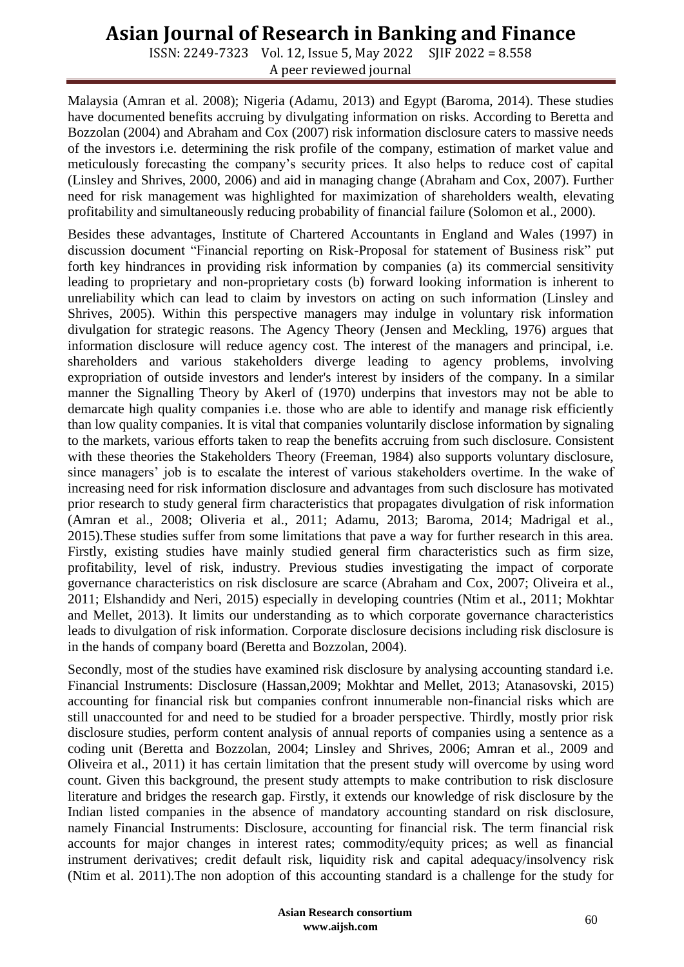ISSN: 2249-7323 Vol. 12, Issue 5, May 2022 SJIF 2022 = 8.558 A peer reviewed journal

Malaysia (Amran et al. 2008); Nigeria (Adamu, 2013) and Egypt (Baroma, 2014). These studies have documented benefits accruing by divulgating information on risks. According to Beretta and Bozzolan (2004) and Abraham and Cox (2007) risk information disclosure caters to massive needs of the investors i.e. determining the risk profile of the company, estimation of market value and meticulously forecasting the company's security prices. It also helps to reduce cost of capital (Linsley and Shrives, 2000, 2006) and aid in managing change (Abraham and Cox, 2007). Further need for risk management was highlighted for maximization of shareholders wealth, elevating profitability and simultaneously reducing probability of financial failure (Solomon et al., 2000).

Besides these advantages, Institute of Chartered Accountants in England and Wales (1997) in discussion document "Financial reporting on Risk-Proposal for statement of Business risk" put forth key hindrances in providing risk information by companies (a) its commercial sensitivity leading to proprietary and non-proprietary costs (b) forward looking information is inherent to unreliability which can lead to claim by investors on acting on such information (Linsley and Shrives, 2005). Within this perspective managers may indulge in voluntary risk information divulgation for strategic reasons. The Agency Theory (Jensen and Meckling, 1976) argues that information disclosure will reduce agency cost. The interest of the managers and principal, i.e. shareholders and various stakeholders diverge leading to agency problems, involving expropriation of outside investors and lender's interest by insiders of the company. In a similar manner the Signalling Theory by Akerl of (1970) underpins that investors may not be able to demarcate high quality companies i.e. those who are able to identify and manage risk efficiently than low quality companies. It is vital that companies voluntarily disclose information by signaling to the markets, various efforts taken to reap the benefits accruing from such disclosure. Consistent with these theories the Stakeholders Theory (Freeman, 1984) also supports voluntary disclosure, since managers' job is to escalate the interest of various stakeholders overtime. In the wake of increasing need for risk information disclosure and advantages from such disclosure has motivated prior research to study general firm characteristics that propagates divulgation of risk information (Amran et al., 2008; Oliveria et al., 2011; Adamu, 2013; Baroma, 2014; Madrigal et al., 2015).These studies suffer from some limitations that pave a way for further research in this area. Firstly, existing studies have mainly studied general firm characteristics such as firm size, profitability, level of risk, industry. Previous studies investigating the impact of corporate governance characteristics on risk disclosure are scarce (Abraham and Cox, 2007; Oliveira et al., 2011; Elshandidy and Neri, 2015) especially in developing countries (Ntim et al., 2011; Mokhtar and Mellet, 2013). It limits our understanding as to which corporate governance characteristics leads to divulgation of risk information. Corporate disclosure decisions including risk disclosure is in the hands of company board (Beretta and Bozzolan, 2004).

Secondly, most of the studies have examined risk disclosure by analysing accounting standard i.e. Financial Instruments: Disclosure (Hassan,2009; Mokhtar and Mellet, 2013; Atanasovski, 2015) accounting for financial risk but companies confront innumerable non-financial risks which are still unaccounted for and need to be studied for a broader perspective. Thirdly, mostly prior risk disclosure studies, perform content analysis of annual reports of companies using a sentence as a coding unit (Beretta and Bozzolan, 2004; Linsley and Shrives, 2006; Amran et al., 2009 and Oliveira et al., 2011) it has certain limitation that the present study will overcome by using word count. Given this background, the present study attempts to make contribution to risk disclosure literature and bridges the research gap. Firstly, it extends our knowledge of risk disclosure by the Indian listed companies in the absence of mandatory accounting standard on risk disclosure, namely Financial Instruments: Disclosure, accounting for financial risk. The term financial risk accounts for major changes in interest rates; commodity/equity prices; as well as financial instrument derivatives; credit default risk, liquidity risk and capital adequacy/insolvency risk (Ntim et al. 2011).The non adoption of this accounting standard is a challenge for the study for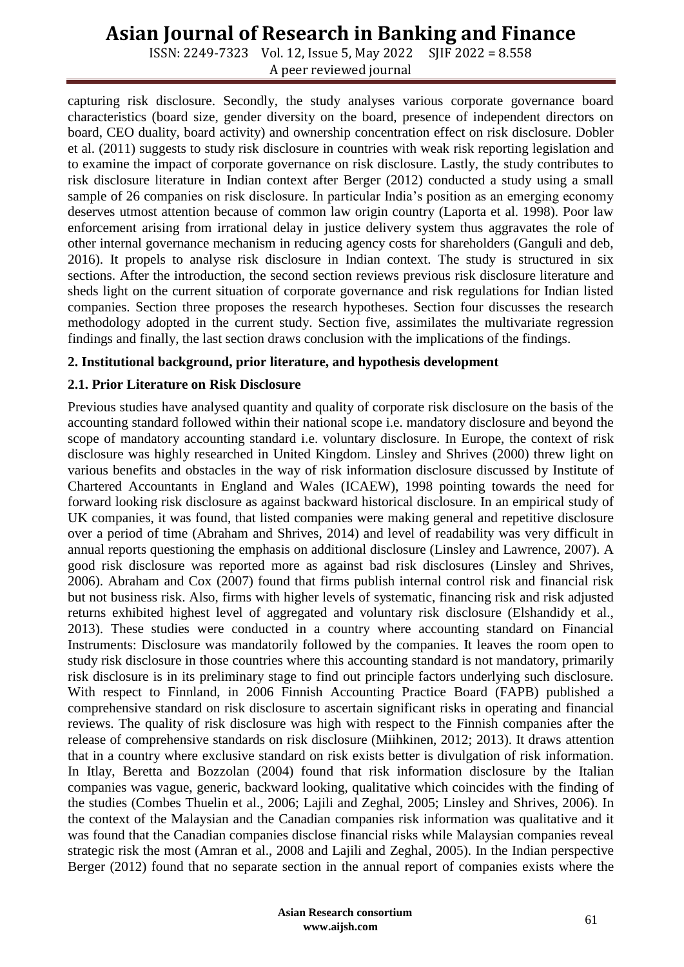ISSN: 2249-7323 Vol. 12, Issue 5, May 2022 SJIF 2022 = 8.558 A peer reviewed journal

capturing risk disclosure. Secondly, the study analyses various corporate governance board characteristics (board size, gender diversity on the board, presence of independent directors on board, CEO duality, board activity) and ownership concentration effect on risk disclosure. Dobler et al. (2011) suggests to study risk disclosure in countries with weak risk reporting legislation and to examine the impact of corporate governance on risk disclosure. Lastly, the study contributes to risk disclosure literature in Indian context after Berger (2012) conducted a study using a small sample of 26 companies on risk disclosure. In particular India's position as an emerging economy deserves utmost attention because of common law origin country (Laporta et al. 1998). Poor law enforcement arising from irrational delay in justice delivery system thus aggravates the role of other internal governance mechanism in reducing agency costs for shareholders (Ganguli and deb, 2016). It propels to analyse risk disclosure in Indian context. The study is structured in six sections. After the introduction, the second section reviews previous risk disclosure literature and sheds light on the current situation of corporate governance and risk regulations for Indian listed companies. Section three proposes the research hypotheses. Section four discusses the research methodology adopted in the current study. Section five, assimilates the multivariate regression findings and finally, the last section draws conclusion with the implications of the findings.

### **2. Institutional background, prior literature, and hypothesis development**

## **2.1. Prior Literature on Risk Disclosure**

Previous studies have analysed quantity and quality of corporate risk disclosure on the basis of the accounting standard followed within their national scope i.e. mandatory disclosure and beyond the scope of mandatory accounting standard i.e. voluntary disclosure. In Europe, the context of risk disclosure was highly researched in United Kingdom. Linsley and Shrives (2000) threw light on various benefits and obstacles in the way of risk information disclosure discussed by Institute of Chartered Accountants in England and Wales (ICAEW), 1998 pointing towards the need for forward looking risk disclosure as against backward historical disclosure. In an empirical study of UK companies, it was found, that listed companies were making general and repetitive disclosure over a period of time (Abraham and Shrives, 2014) and level of readability was very difficult in annual reports questioning the emphasis on additional disclosure (Linsley and Lawrence, 2007). A good risk disclosure was reported more as against bad risk disclosures (Linsley and Shrives, 2006). Abraham and Cox (2007) found that firms publish internal control risk and financial risk but not business risk. Also, firms with higher levels of systematic, financing risk and risk adjusted returns exhibited highest level of aggregated and voluntary risk disclosure (Elshandidy et al., 2013). These studies were conducted in a country where accounting standard on Financial Instruments: Disclosure was mandatorily followed by the companies. It leaves the room open to study risk disclosure in those countries where this accounting standard is not mandatory, primarily risk disclosure is in its preliminary stage to find out principle factors underlying such disclosure. With respect to Finnland, in 2006 Finnish Accounting Practice Board (FAPB) published a comprehensive standard on risk disclosure to ascertain significant risks in operating and financial reviews. The quality of risk disclosure was high with respect to the Finnish companies after the release of comprehensive standards on risk disclosure (Miihkinen, 2012; 2013). It draws attention that in a country where exclusive standard on risk exists better is divulgation of risk information. In Itlay, Beretta and Bozzolan (2004) found that risk information disclosure by the Italian companies was vague, generic, backward looking, qualitative which coincides with the finding of the studies (Combes Thuelin et al., 2006; Lajili and Zeghal, 2005; Linsley and Shrives, 2006). In the context of the Malaysian and the Canadian companies risk information was qualitative and it was found that the Canadian companies disclose financial risks while Malaysian companies reveal strategic risk the most (Amran et al., 2008 and Lajili and Zeghal, 2005). In the Indian perspective Berger (2012) found that no separate section in the annual report of companies exists where the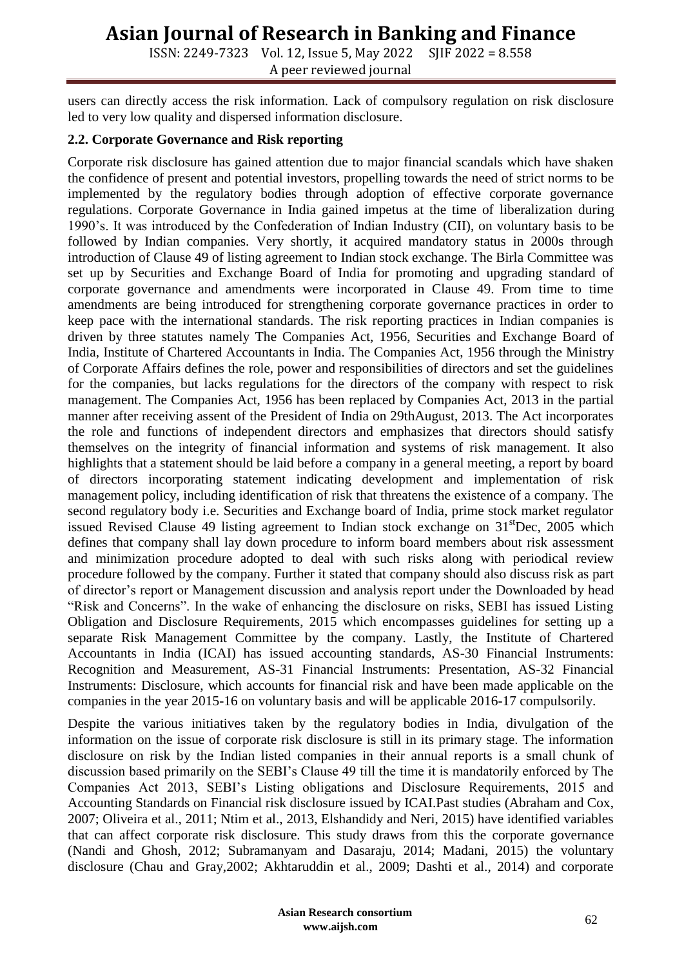ISSN: 2249-7323 Vol. 12, Issue 5, May 2022 SJIF 2022 = 8.558 A peer reviewed journal

users can directly access the risk information. Lack of compulsory regulation on risk disclosure led to very low quality and dispersed information disclosure.

#### **2.2. Corporate Governance and Risk reporting**

Corporate risk disclosure has gained attention due to major financial scandals which have shaken the confidence of present and potential investors, propelling towards the need of strict norms to be implemented by the regulatory bodies through adoption of effective corporate governance regulations. Corporate Governance in India gained impetus at the time of liberalization during 1990's. It was introduced by the Confederation of Indian Industry (CII), on voluntary basis to be followed by Indian companies. Very shortly, it acquired mandatory status in 2000s through introduction of Clause 49 of listing agreement to Indian stock exchange. The Birla Committee was set up by Securities and Exchange Board of India for promoting and upgrading standard of corporate governance and amendments were incorporated in Clause 49. From time to time amendments are being introduced for strengthening corporate governance practices in order to keep pace with the international standards. The risk reporting practices in Indian companies is driven by three statutes namely The Companies Act, 1956, Securities and Exchange Board of India, Institute of Chartered Accountants in India. The Companies Act, 1956 through the Ministry of Corporate Affairs defines the role, power and responsibilities of directors and set the guidelines for the companies, but lacks regulations for the directors of the company with respect to risk management. The Companies Act, 1956 has been replaced by Companies Act, 2013 in the partial manner after receiving assent of the President of India on 29thAugust, 2013. The Act incorporates the role and functions of independent directors and emphasizes that directors should satisfy themselves on the integrity of financial information and systems of risk management. It also highlights that a statement should be laid before a company in a general meeting, a report by board of directors incorporating statement indicating development and implementation of risk management policy, including identification of risk that threatens the existence of a company. The second regulatory body i.e. Securities and Exchange board of India, prime stock market regulator issued Revised Clause 49 listing agreement to Indian stock exchange on  $31^{\text{st}}$ Dec, 2005 which defines that company shall lay down procedure to inform board members about risk assessment and minimization procedure adopted to deal with such risks along with periodical review procedure followed by the company. Further it stated that company should also discuss risk as part of director's report or Management discussion and analysis report under the Downloaded by head "Risk and Concerns". In the wake of enhancing the disclosure on risks, SEBI has issued Listing Obligation and Disclosure Requirements, 2015 which encompasses guidelines for setting up a separate Risk Management Committee by the company. Lastly, the Institute of Chartered Accountants in India (ICAI) has issued accounting standards, AS-30 Financial Instruments: Recognition and Measurement, AS-31 Financial Instruments: Presentation, AS-32 Financial Instruments: Disclosure, which accounts for financial risk and have been made applicable on the companies in the year 2015-16 on voluntary basis and will be applicable 2016-17 compulsorily.

Despite the various initiatives taken by the regulatory bodies in India, divulgation of the information on the issue of corporate risk disclosure is still in its primary stage. The information disclosure on risk by the Indian listed companies in their annual reports is a small chunk of discussion based primarily on the SEBI's Clause 49 till the time it is mandatorily enforced by The Companies Act 2013, SEBI's Listing obligations and Disclosure Requirements, 2015 and Accounting Standards on Financial risk disclosure issued by ICAI.Past studies (Abraham and Cox, 2007; Oliveira et al., 2011; Ntim et al., 2013, Elshandidy and Neri, 2015) have identified variables that can affect corporate risk disclosure. This study draws from this the corporate governance (Nandi and Ghosh, 2012; Subramanyam and Dasaraju, 2014; Madani, 2015) the voluntary disclosure (Chau and Gray,2002; Akhtaruddin et al., 2009; Dashti et al., 2014) and corporate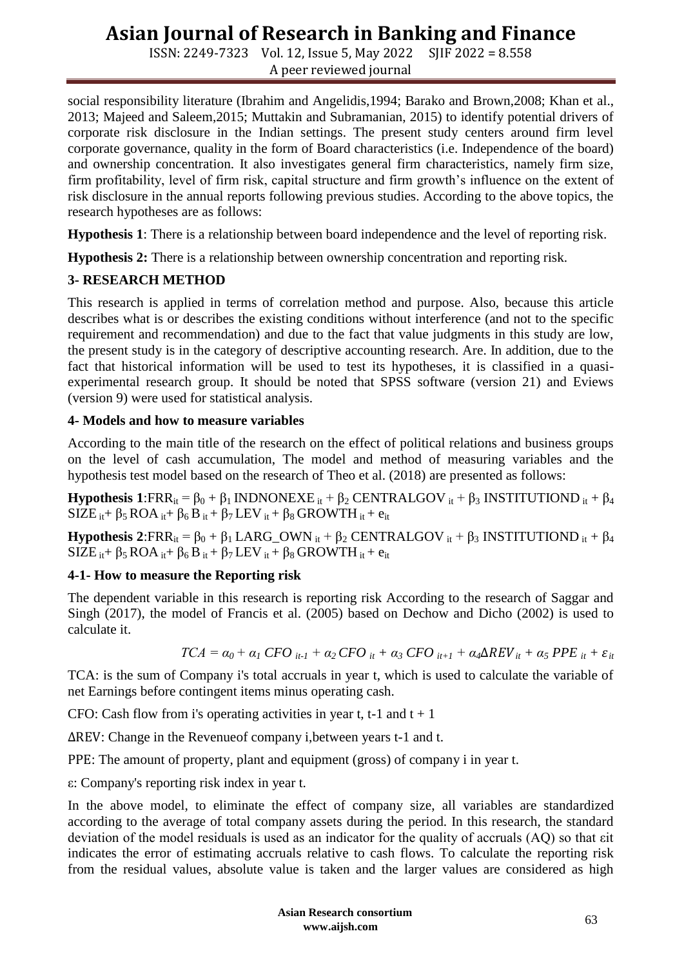ISSN: 2249-7323 Vol. 12, Issue 5, May 2022 SJIF 2022 = 8.558 A peer reviewed journal

social responsibility literature (Ibrahim and Angelidis,1994; Barako and Brown,2008; Khan et al., 2013; Majeed and Saleem,2015; Muttakin and Subramanian, 2015) to identify potential drivers of corporate risk disclosure in the Indian settings. The present study centers around firm level corporate governance, quality in the form of Board characteristics (i.e. Independence of the board) and ownership concentration. It also investigates general firm characteristics, namely firm size, firm profitability, level of firm risk, capital structure and firm growth's influence on the extent of risk disclosure in the annual reports following previous studies. According to the above topics, the research hypotheses are as follows:

**Hypothesis 1**: There is a relationship between board independence and the level of reporting risk.

**Hypothesis 2:** There is a relationship between ownership concentration and reporting risk.

### **3- RESEARCH METHOD**

This research is applied in terms of correlation method and purpose. Also, because this article describes what is or describes the existing conditions without interference (and not to the specific requirement and recommendation) and due to the fact that value judgments in this study are low, the present study is in the category of descriptive accounting research. Are. In addition, due to the fact that historical information will be used to test its hypotheses, it is classified in a quasiexperimental research group. It should be noted that SPSS software (version 21) and Eviews (version 9) were used for statistical analysis.

#### **4- Models and how to measure variables**

According to the main title of the research on the effect of political relations and business groups on the level of cash accumulation, The model and method of measuring variables and the hypothesis test model based on the research of Theo et al. (2018) are presented as follows:

**Hypothesis 1**:FRR<sub>it</sub> =  $\beta_0 + \beta_1$  INDNONEXE it +  $\beta_2$  CENTRALGOV it +  $\beta_3$  INSTITUTIOND it +  $\beta_4$  $SIZE_{it} + \beta_5 ROA_{it} + \beta_6 B_{it} + \beta_7 LEV_{it} + \beta_8 GROWTH_{it} + e_{it}$ 

**Hypothesis 2**:FRR<sub>it</sub> =  $\beta_0 + \beta_1$  LARG\_OWN <sub>it</sub> +  $\beta_2$  CENTRALGOV <sub>it</sub> +  $\beta_3$  INSTITUTIOND <sub>it</sub> +  $\beta_4$  $SIZE_{it} + \beta_5 ROA_{it} + \beta_6 B_{it} + \beta_7 LEV_{it} + \beta_8 GROWTH_{it} + e_{it}$ 

### **4-1- How to measure the Reporting risk**

The dependent variable in this research is reporting risk According to the research of Saggar and Singh (2017), the model of Francis et al. (2005) based on Dechow and Dicho (2002) is used to calculate it.

$$
TCA = \alpha_0 + \alpha_1 \, CFO_{it-1} + \alpha_2 \, CFO_{it} + \alpha_3 \, CFO_{it+1} + \alpha_4 \Delta REV_{it} + \alpha_5 \, PPE_{it} + \varepsilon_{it}
$$

TCA: is the sum of Company i's total accruals in year t, which is used to calculate the variable of net Earnings before contingent items minus operating cash.

CFO: Cash flow from i's operating activities in year t, t-1 and  $t + 1$ 

∆REV: Change in the Revenueof company i,between years t-1 and t.

PPE: The amount of property, plant and equipment (gross) of company i in year t.

ε: Company's reporting risk index in year t.

In the above model, to eliminate the effect of company size, all variables are standardized according to the average of total company assets during the period. In this research, the standard deviation of the model residuals is used as an indicator for the quality of accruals (AQ) so that εit indicates the error of estimating accruals relative to cash flows. To calculate the reporting risk from the residual values, absolute value is taken and the larger values are considered as high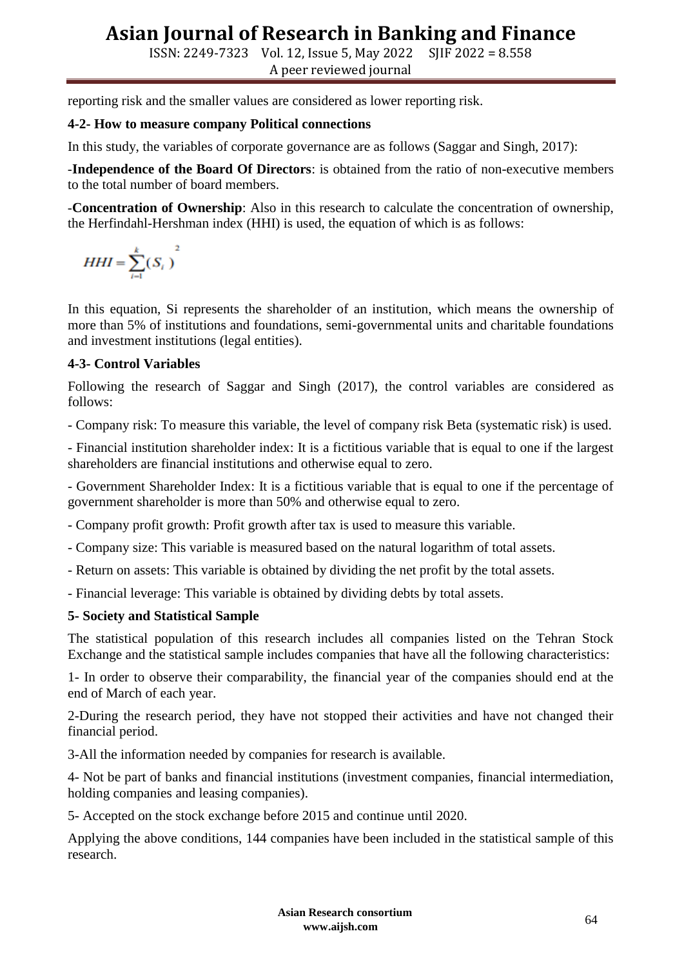ISSN: 2249-7323 Vol. 12, Issue 5, May 2022 SJIF 2022 = 8.558 A peer reviewed journal

reporting risk and the smaller values are considered as lower reporting risk.

### **4-2- How to measure company Political connections**

In this study, the variables of corporate governance are as follows (Saggar and Singh, 2017):

-**Independence of the Board Of Directors**: is obtained from the ratio of non-executive members to the total number of board members.

-**Concentration of Ownership**: Also in this research to calculate the concentration of ownership, the Herfindahl-Hershman index (HHI) is used, the equation of which is as follows:

$$
HHI = \sum_{i=1}^{k} (S_i)
$$

In this equation, Si represents the shareholder of an institution, which means the ownership of more than 5% of institutions and foundations, semi-governmental units and charitable foundations and investment institutions (legal entities).

### **4-3- Control Variables**

Following the research of Saggar and Singh (2017), the control variables are considered as follows:

- Company risk: To measure this variable, the level of company risk Beta (systematic risk) is used.

- Financial institution shareholder index: It is a fictitious variable that is equal to one if the largest shareholders are financial institutions and otherwise equal to zero.

- Government Shareholder Index: It is a fictitious variable that is equal to one if the percentage of government shareholder is more than 50% and otherwise equal to zero.

- Company profit growth: Profit growth after tax is used to measure this variable.

- Company size: This variable is measured based on the natural logarithm of total assets.

- Return on assets: This variable is obtained by dividing the net profit by the total assets.

- Financial leverage: This variable is obtained by dividing debts by total assets.

### **5- Society and Statistical Sample**

The statistical population of this research includes all companies listed on the Tehran Stock Exchange and the statistical sample includes companies that have all the following characteristics:

1- In order to observe their comparability, the financial year of the companies should end at the end of March of each year.

2-During the research period, they have not stopped their activities and have not changed their financial period.

3-All the information needed by companies for research is available.

4- Not be part of banks and financial institutions (investment companies, financial intermediation, holding companies and leasing companies).

5- Accepted on the stock exchange before 2015 and continue until 2020.

Applying the above conditions, 144 companies have been included in the statistical sample of this research.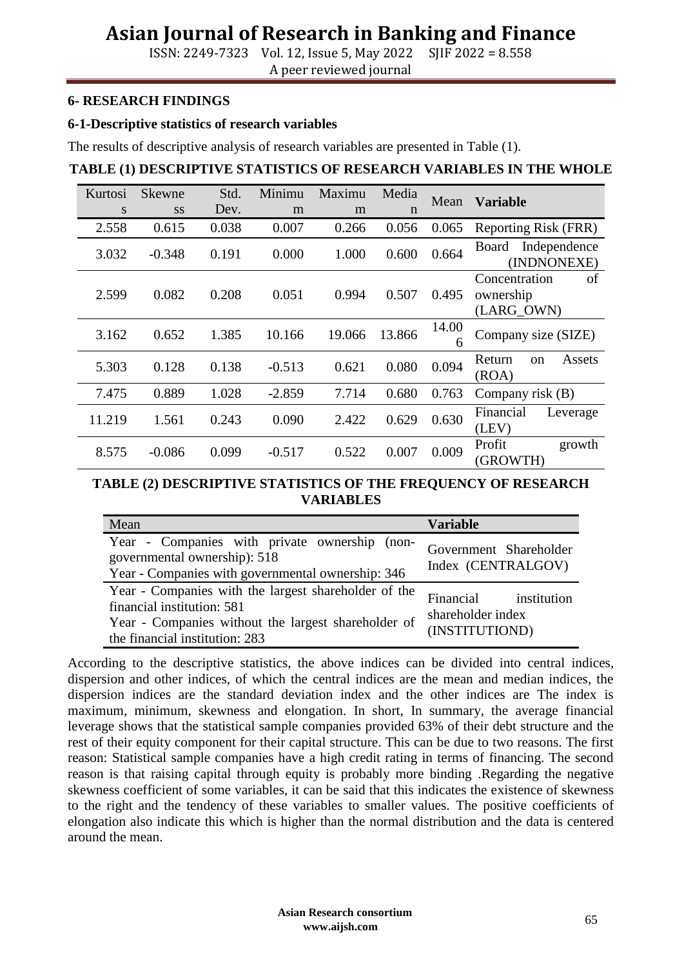ISSN: 2249-7323 Vol. 12, Issue 5, May 2022 SJIF 2022 = 8.558 A peer reviewed journal

#### **6- RESEARCH FINDINGS**

#### **6-1-Descriptive statistics of research variables**

The results of descriptive analysis of research variables are presented in Table (1).

#### **TABLE (1) DESCRIPTIVE STATISTICS OF RESEARCH VARIABLES IN THE WHOLE**

| Kurtosi | <b>Skewne</b> | Std.  | Minimu   | Maximu | Media       | Mean       | <b>Variable</b>                                |
|---------|---------------|-------|----------|--------|-------------|------------|------------------------------------------------|
| S       | <b>SS</b>     | Dev.  | m        | m      | $\mathbf n$ |            |                                                |
| 2.558   | 0.615         | 0.038 | 0.007    | 0.266  | 0.056       | 0.065      | Reporting Risk (FRR)                           |
| 3.032   | $-0.348$      | 0.191 | 0.000    | 1.000  | 0.600       | 0.664      | Independence<br>Board<br>(INDNONEXE)           |
| 2.599   | 0.082         | 0.208 | 0.051    | 0.994  | 0.507       | 0.495      | of<br>Concentration<br>ownership<br>(LARG_OWN) |
| 3.162   | 0.652         | 1.385 | 10.166   | 19.066 | 13.866      | 14.00<br>6 | Company size (SIZE)                            |
| 5.303   | 0.128         | 0.138 | $-0.513$ | 0.621  | 0.080       | 0.094      | Return<br>Assets<br><sub>on</sub><br>(ROA)     |
| 7.475   | 0.889         | 1.028 | $-2.859$ | 7.714  | 0.680       | 0.763      | Company risk (B)                               |
| 11.219  | 1.561         | 0.243 | 0.090    | 2.422  | 0.629       | 0.630      | Financial<br>Leverage<br>(LEV)                 |
| 8.575   | $-0.086$      | 0.099 | $-0.517$ | 0.522  | 0.007       | 0.009      | Profit<br>growth<br>(GROWTH)                   |

#### **TABLE (2) DESCRIPTIVE STATISTICS OF THE FREQUENCY OF RESEARCH VARIABLES**

| Mean                                                                                                                                                                        | <b>Variable</b>                                              |
|-----------------------------------------------------------------------------------------------------------------------------------------------------------------------------|--------------------------------------------------------------|
| Year - Companies with private ownership (non-<br>governmental ownership): 518<br>Year - Companies with governmental ownership: 346                                          | Government Shareholder<br>Index (CENTRALGOV)                 |
| Year - Companies with the largest shareholder of the<br>financial institution: 581<br>Year - Companies without the largest shareholder of<br>the financial institution: 283 | Financial institution<br>shareholder index<br>(INSTITUTIOND) |

According to the descriptive statistics, the above indices can be divided into central indices, dispersion and other indices, of which the central indices are the mean and median indices, the dispersion indices are the standard deviation index and the other indices are The index is maximum, minimum, skewness and elongation. In short, In summary, the average financial leverage shows that the statistical sample companies provided 63% of their debt structure and the rest of their equity component for their capital structure. This can be due to two reasons. The first reason: Statistical sample companies have a high credit rating in terms of financing. The second reason is that raising capital through equity is probably more binding .Regarding the negative skewness coefficient of some variables, it can be said that this indicates the existence of skewness to the right and the tendency of these variables to smaller values. The positive coefficients of elongation also indicate this which is higher than the normal distribution and the data is centered around the mean.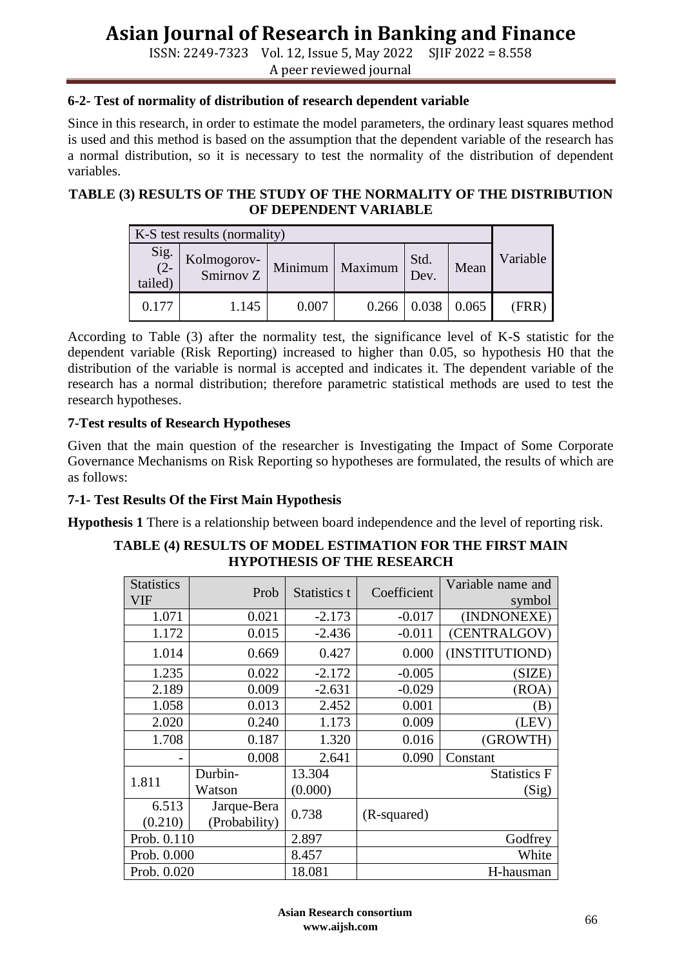ISSN: 2249-7323 Vol. 12, Issue 5, May 2022 SJIF 2022 = 8.558 A peer reviewed journal

#### **6-2- Test of normality of distribution of research dependent variable**

Since in this research, in order to estimate the model parameters, the ordinary least squares method is used and this method is based on the assumption that the dependent variable of the research has a normal distribution, so it is necessary to test the normality of the distribution of dependent variables.

#### **TABLE (3) RESULTS OF THE STUDY OF THE NORMALITY OF THE DISTRIBUTION OF DEPENDENT VARIABLE**

| K-S test results (normality) |                          |       |                   |              |       |          |
|------------------------------|--------------------------|-------|-------------------|--------------|-------|----------|
| Sig. $(2-$<br>tailed)        | Kolmogorov-<br>Smirnov Z |       | Minimum   Maximum | Std.<br>Dev. | Mean  | Variable |
| 0.177                        | 1.145                    | 0.007 | 0.266             | 0.038        | 0.065 | (FRR)    |

According to Table (3) after the normality test, the significance level of K-S statistic for the dependent variable (Risk Reporting) increased to higher than 0.05, so hypothesis H0 that the distribution of the variable is normal is accepted and indicates it. The dependent variable of the research has a normal distribution; therefore parametric statistical methods are used to test the research hypotheses.

#### **7-Test results of Research Hypotheses**

Given that the main question of the researcher is Investigating the Impact of Some Corporate Governance Mechanisms on Risk Reporting so hypotheses are formulated, the results of which are as follows:

### **7-1- Test Results Of the First Main Hypothesis**

**Hypothesis 1** There is a relationship between board independence and the level of reporting risk.

#### **TABLE (4) RESULTS OF MODEL ESTIMATION FOR THE FIRST MAIN HYPOTHESIS OF THE RESEARCH**

| <b>Statistics</b><br>VIF | Prob          | Statistics t | Coefficient | Variable name and<br>symbol |  |
|--------------------------|---------------|--------------|-------------|-----------------------------|--|
| 1.071                    | 0.021         | $-2.173$     | $-0.017$    | (INDNONEXE)                 |  |
| 1.172                    | 0.015         | $-2.436$     | $-0.011$    | (CENTRALGOV)                |  |
| 1.014                    | 0.669         | 0.427        | 0.000       | (INSTITUTIOND)              |  |
| 1.235                    | 0.022         | $-2.172$     | $-0.005$    | SIZE)                       |  |
| 2.189                    | 0.009         | $-2.631$     | $-0.029$    | (ROA)                       |  |
| 1.058                    | 0.013         | 2.452        | 0.001       | $\left( \mathrm{B}\right)$  |  |
| 2.020                    | 0.240         | 1.173        | 0.009       | (LEV)                       |  |
| 1.708                    | 0.187         | 1.320        | 0.016       | (GROWTH)                    |  |
|                          | 0.008         | 2.641        | 0.090       | Constant                    |  |
| Durbin-<br>1.811         |               | 13.304       |             | <b>Statistics F</b>         |  |
|                          | Watson        | (0.000)      |             | (Sig)                       |  |
| 6.513                    | Jarque-Bera   | 0.738        | (R-squared) |                             |  |
| (0.210)                  | (Probability) |              |             |                             |  |
| Prob. 0.110              |               | 2.897        |             | Godfrey                     |  |
| Prob. 0.000              |               | 8.457        | White       |                             |  |
| Prob. 0.020              |               | 18.081       | H-hausman   |                             |  |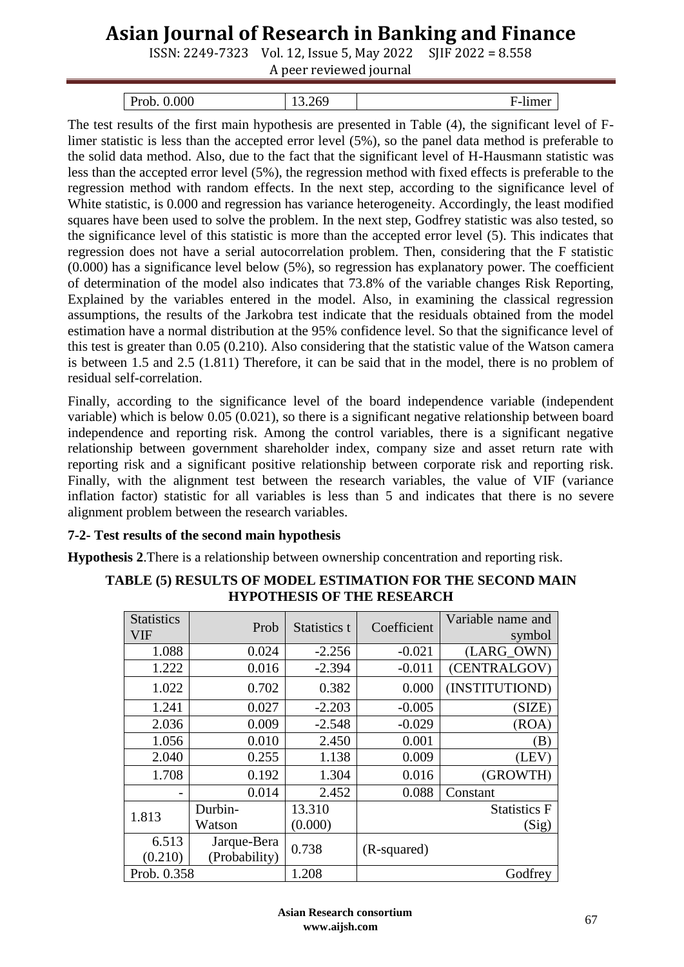ISSN: 2249-7323 Vol. 12, Issue 5, May 2022 SJIF 2022 = 8.558

A peer reviewed journal

| 0.000<br>Prob. | .nu<br>10.SV | mer<br>י−י |
|----------------|--------------|------------|

The test results of the first main hypothesis are presented in Table (4), the significant level of Flimer statistic is less than the accepted error level (5%), so the panel data method is preferable to the solid data method. Also, due to the fact that the significant level of H-Hausmann statistic was less than the accepted error level (5%), the regression method with fixed effects is preferable to the regression method with random effects. In the next step, according to the significance level of White statistic, is 0.000 and regression has variance heterogeneity. Accordingly, the least modified squares have been used to solve the problem. In the next step, Godfrey statistic was also tested, so the significance level of this statistic is more than the accepted error level (5). This indicates that regression does not have a serial autocorrelation problem. Then, considering that the F statistic (0.000) has a significance level below (5%), so regression has explanatory power. The coefficient of determination of the model also indicates that 73.8% of the variable changes Risk Reporting, Explained by the variables entered in the model. Also, in examining the classical regression assumptions, the results of the Jarkobra test indicate that the residuals obtained from the model estimation have a normal distribution at the 95% confidence level. So that the significance level of this test is greater than 0.05 (0.210). Also considering that the statistic value of the Watson camera is between 1.5 and 2.5 (1.811) Therefore, it can be said that in the model, there is no problem of residual self-correlation.

Finally, according to the significance level of the board independence variable (independent variable) which is below 0.05 (0.021), so there is a significant negative relationship between board independence and reporting risk. Among the control variables, there is a significant negative relationship between government shareholder index, company size and asset return rate with reporting risk and a significant positive relationship between corporate risk and reporting risk. Finally, with the alignment test between the research variables, the value of VIF (variance inflation factor) statistic for all variables is less than 5 and indicates that there is no severe alignment problem between the research variables.

## **7-2- Test results of the second main hypothesis**

**Hypothesis 2**.There is a relationship between ownership concentration and reporting risk.

| <b>Statistics</b><br>VIF | Prob          | Statistics t | Coefficient | Variable name and<br>symbol |
|--------------------------|---------------|--------------|-------------|-----------------------------|
| 1.088                    | 0.024         | $-2.256$     | $-0.021$    | (LARG_OWN)                  |
| 1.222                    | 0.016         | $-2.394$     | $-0.011$    | (CENTRALGOV)                |
| 1.022                    | 0.702         | 0.382        | 0.000       | (INSTITUTIOND)              |
| 1.241                    | 0.027         | $-2.203$     | $-0.005$    | (SIZE)                      |
| 2.036                    | 0.009         | $-2.548$     | $-0.029$    | (ROA)                       |
| 1.056                    | 0.010         | 2.450        | 0.001       | $\mathbf{B})$               |
| 2.040                    | 0.255         | 1.138        | 0.009       | (LEV                        |
| 1.708                    | 0.192         | 1.304        | 0.016       | (GROWTH)                    |
|                          | 0.014         | 2.452        | 0.088       | Constant                    |
| 1.813                    | Durbin-       | 13.310       |             | <b>Statistics F</b>         |
|                          | Watson        | (0.000)      |             | (Sig)                       |
| 6.513                    | Jarque-Bera   | 0.738        | (R-squared) |                             |
| (0.210)                  | (Probability) |              |             |                             |
| Prob. 0.358              |               | 1.208        |             | Godfrey                     |

## **TABLE (5) RESULTS OF MODEL ESTIMATION FOR THE SECOND MAIN HYPOTHESIS OF THE RESEARCH**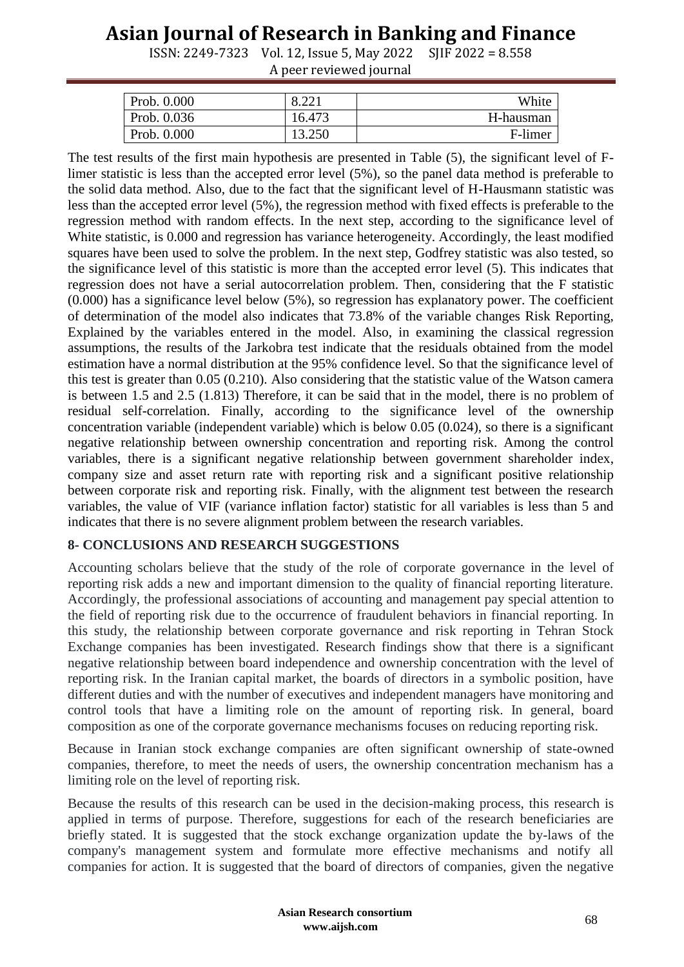ISSN: 2249-7323 Vol. 12, Issue 5, May 2022 SJIF 2022 = 8.558 A peer reviewed journal

| Prob. 0.000 | $Q$ 221<br>0.221 | White     |
|-------------|------------------|-----------|
| Prob. 0.036 | 16.473           | H-hausman |
| Prob. 0.000 | 13.250           | F-limer   |

The test results of the first main hypothesis are presented in Table (5), the significant level of Flimer statistic is less than the accepted error level (5%), so the panel data method is preferable to the solid data method. Also, due to the fact that the significant level of H-Hausmann statistic was less than the accepted error level (5%), the regression method with fixed effects is preferable to the regression method with random effects. In the next step, according to the significance level of White statistic, is 0.000 and regression has variance heterogeneity. Accordingly, the least modified squares have been used to solve the problem. In the next step, Godfrey statistic was also tested, so the significance level of this statistic is more than the accepted error level (5). This indicates that regression does not have a serial autocorrelation problem. Then, considering that the F statistic (0.000) has a significance level below (5%), so regression has explanatory power. The coefficient of determination of the model also indicates that 73.8% of the variable changes Risk Reporting, Explained by the variables entered in the model. Also, in examining the classical regression assumptions, the results of the Jarkobra test indicate that the residuals obtained from the model estimation have a normal distribution at the 95% confidence level. So that the significance level of this test is greater than 0.05 (0.210). Also considering that the statistic value of the Watson camera is between 1.5 and 2.5 (1.813) Therefore, it can be said that in the model, there is no problem of residual self-correlation. Finally, according to the significance level of the ownership concentration variable (independent variable) which is below 0.05 (0.024), so there is a significant negative relationship between ownership concentration and reporting risk. Among the control variables, there is a significant negative relationship between government shareholder index, company size and asset return rate with reporting risk and a significant positive relationship between corporate risk and reporting risk. Finally, with the alignment test between the research variables, the value of VIF (variance inflation factor) statistic for all variables is less than 5 and indicates that there is no severe alignment problem between the research variables.

### **8- CONCLUSIONS AND RESEARCH SUGGESTIONS**

Accounting scholars believe that the study of the role of corporate governance in the level of reporting risk adds a new and important dimension to the quality of financial reporting literature. Accordingly, the professional associations of accounting and management pay special attention to the field of reporting risk due to the occurrence of fraudulent behaviors in financial reporting. In this study, the relationship between corporate governance and risk reporting in Tehran Stock Exchange companies has been investigated. Research findings show that there is a significant negative relationship between board independence and ownership concentration with the level of reporting risk. In the Iranian capital market, the boards of directors in a symbolic position, have different duties and with the number of executives and independent managers have monitoring and control tools that have a limiting role on the amount of reporting risk. In general, board composition as one of the corporate governance mechanisms focuses on reducing reporting risk.

Because in Iranian stock exchange companies are often significant ownership of state-owned companies, therefore, to meet the needs of users, the ownership concentration mechanism has a limiting role on the level of reporting risk.

Because the results of this research can be used in the decision-making process, this research is applied in terms of purpose. Therefore, suggestions for each of the research beneficiaries are briefly stated. It is suggested that the stock exchange organization update the by-laws of the company's management system and formulate more effective mechanisms and notify all companies for action. It is suggested that the board of directors of companies, given the negative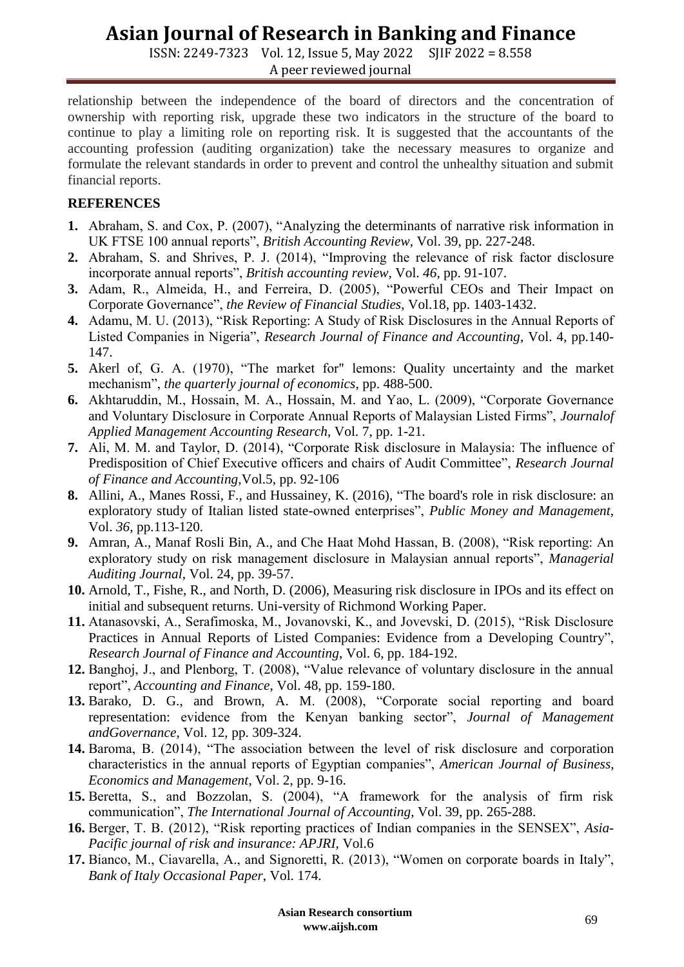ISSN: 2249-7323 Vol. 12, Issue 5, May 2022 SJIF 2022 = 8.558 A peer reviewed journal

relationship between the independence of the board of directors and the concentration of ownership with reporting risk, upgrade these two indicators in the structure of the board to continue to play a limiting role on reporting risk. It is suggested that the accountants of the accounting profession (auditing organization) take the necessary measures to organize and formulate the relevant standards in order to prevent and control the unhealthy situation and submit financial reports.

### **REFERENCES**

- **1.** Abraham, S. and Cox, P. (2007), "Analyzing the determinants of narrative risk information in UK FTSE 100 annual reports", *British Accounting Review*, Vol. 39, pp. 227-248.
- **2.** Abraham, S. and Shrives, P. J. (2014), "Improving the relevance of risk factor disclosure incorporate annual reports", *British accounting review*, Vol. *46*, pp. 91-107.
- **3.** Adam, R., Almeida, H., and Ferreira, D. (2005), "Powerful CEOs and Their Impact on Corporate Governance", *the Review of Financial Studies*, Vol.18, pp. 1403-1432.
- **4.** Adamu, M. U. (2013), "Risk Reporting: A Study of Risk Disclosures in the Annual Reports of Listed Companies in Nigeria", *Research Journal of Finance and Accounting*, Vol. 4, pp.140- 147.
- **5.** Akerl of, G. A. (1970), "The market for" lemons: Quality uncertainty and the market mechanism", *the quarterly journal of economics*, pp. 488-500.
- **6.** Akhtaruddin, M., Hossain, M. A., Hossain, M. and Yao, L. (2009), "Corporate Governance and Voluntary Disclosure in Corporate Annual Reports of Malaysian Listed Firms", *Journalof Applied Management Accounting Research*, Vol. 7, pp. 1-21.
- **7.** Ali, M. M. and Taylor, D. (2014), "Corporate Risk disclosure in Malaysia: The influence of Predisposition of Chief Executive officers and chairs of Audit Committee", *Research Journal of Finance and Accounting,*Vol.5, pp. 92-106
- **8.** Allini, A., Manes Rossi, F., and Hussainey, K. (2016), "The board's role in risk disclosure: an exploratory study of Italian listed state-owned enterprises", *Public Money and Management*, Vol. *36*, pp.113-120.
- **9.** Amran, A., Manaf Rosli Bin, A., and Che Haat Mohd Hassan, B. (2008), "Risk reporting: An exploratory study on risk management disclosure in Malaysian annual reports", *Managerial Auditing Journal*, Vol. 24, pp. 39-57.
- **10.** Arnold, T., Fishe, R., and North, D. (2006), Measuring risk disclosure in IPOs and its effect on initial and subsequent returns. Uni-versity of Richmond Working Paper.
- **11.** Atanasovski, A., Serafimoska, M., Jovanovski, K., and Jovevski, D. (2015), "Risk Disclosure Practices in Annual Reports of Listed Companies: Evidence from a Developing Country", *Research Journal of Finance and Accounting*, Vol. 6, pp. 184-192.
- **12.** Banghoj, J., and Plenborg, T. (2008), "Value relevance of voluntary disclosure in the annual report", *Accounting and Finance*, Vol. 48, pp. 159-180.
- **13.** Barako, D. G., and Brown, A. M. (2008), "Corporate social reporting and board representation: evidence from the Kenyan banking sector", *Journal of Management andGovernance*, Vol. 12, pp. 309-324.
- **14.** Baroma, B. (2014), "The association between the level of risk disclosure and corporation characteristics in the annual reports of Egyptian companies", *American Journal of Business*, *Economics and Management*, Vol. 2, pp. 9-16.
- **15.** Beretta, S., and Bozzolan, S. (2004), "A framework for the analysis of firm risk communication", *The International Journal of Accounting*, Vol. 39, pp. 265-288.
- **16.** Berger, T. B. (2012), "Risk reporting practices of Indian companies in the SENSEX", *Asia-Pacific journal of risk and insurance: APJRI,* Vol.6
- **17.** Bianco, M., Ciavarella, A., and Signoretti, R. (2013), "Women on corporate boards in Italy", *Bank of Italy Occasional Paper*, Vol. 174.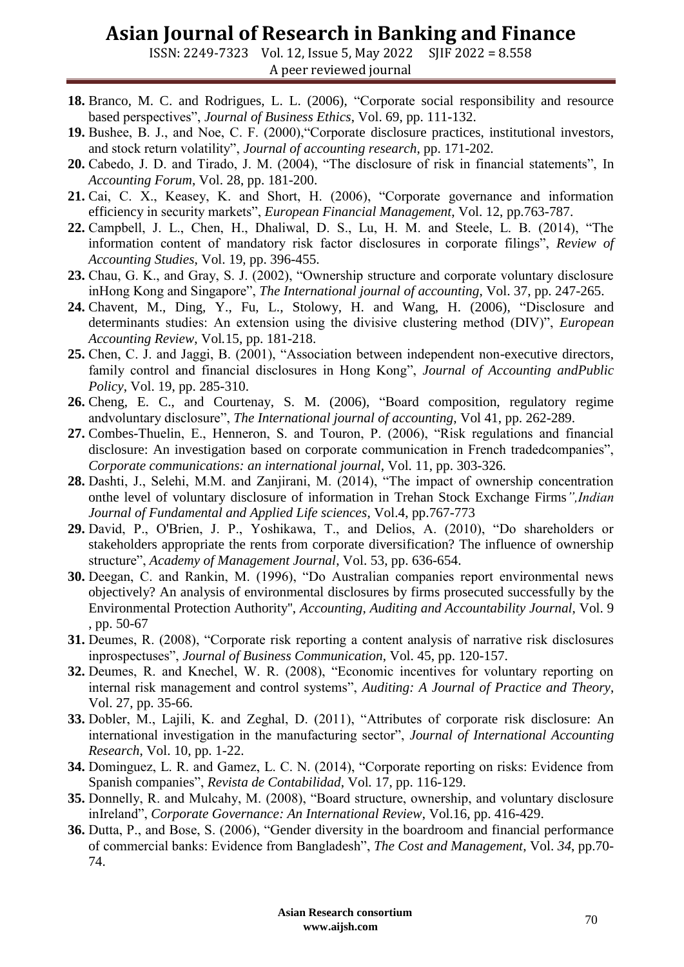ISSN: 2249-7323 Vol. 12, Issue 5, May 2022 SJIF 2022 = 8.558 A peer reviewed journal

- **18.** Branco, M. C. and Rodrigues, L. L. (2006), "Corporate social responsibility and resource based perspectives", *Journal of Business Ethics*, Vol. 69, pp. 111-132.
- **19.** Bushee, B. J., and Noe, C. F. (2000),"Corporate disclosure practices, institutional investors, and stock return volatility", *Journal of accounting research*, pp. 171-202.
- **20.** Cabedo, J. D. and Tirado, J. M. (2004), "The disclosure of risk in financial statements", In *Accounting Forum*, Vol. 28, pp. 181-200.
- **21.** Cai, C. X., Keasey, K. and Short, H. (2006), "Corporate governance and information efficiency in security markets", *European Financial Management*, Vol. 12, pp.763-787.
- **22.** Campbell, J. L., Chen, H., Dhaliwal, D. S., Lu, H. M. and Steele, L. B. (2014), "The information content of mandatory risk factor disclosures in corporate filings", *Review of Accounting Studies*, Vol. 19, pp. 396-455.
- **23.** Chau, G. K., and Gray, S. J. (2002), "Ownership structure and corporate voluntary disclosure inHong Kong and Singapore", *The International journal of accounting*, Vol. 37, pp. 247-265.
- **24.** Chavent, M., Ding, Y., Fu, L., Stolowy, H. and Wang, H. (2006), "Disclosure and determinants studies: An extension using the divisive clustering method (DIV)", *European Accounting Review*, Vol*.*15, pp. 181-218.
- **25.** Chen, C. J. and Jaggi, B. (2001), "Association between independent non-executive directors, family control and financial disclosures in Hong Kong", *Journal of Accounting andPublic Policy*, Vol. 19, pp. 285-310.
- **26.** Cheng, E. C., and Courtenay, S. M. (2006), "Board composition, regulatory regime andvoluntary disclosure", *The International journal of accounting*, Vol 41, pp. 262-289.
- **27.** Combes-Thuelin, E., Henneron, S. and Touron, P. (2006), "Risk regulations and financial disclosure: An investigation based on corporate communication in French tradedcompanies", *Corporate communications: an international journal*, Vol. 11, pp. 303-326.
- **28.** Dashti, J., Selehi, M.M. and Zanjirani, M. (2014), "The impact of ownership concentration onthe level of voluntary disclosure of information in Trehan Stock Exchange Firms*",Indian Journal of Fundamental and Applied Life sciences*, Vol.4, pp.767-773
- **29.** David, P., O'Brien, J. P., Yoshikawa, T., and Delios, A. (2010), "Do shareholders or stakeholders appropriate the rents from corporate diversification? The influence of ownership structure", *Academy of Management Journal*, Vol. 53, pp. 636-654.
- **30.** Deegan, C. and Rankin, M. (1996), "Do Australian companies report environmental news objectively? An analysis of environmental disclosures by firms prosecuted successfully by the Environmental Protection Authority'', *Accounting, Auditing and Accountability Journal*, Vol. 9 , pp. 50-67
- **31.** Deumes, R. (2008), "Corporate risk reporting a content analysis of narrative risk disclosures inprospectuses", *Journal of Business Communication*, Vol. 45, pp. 120-157.
- **32.** Deumes, R. and Knechel, W. R. (2008), "Economic incentives for voluntary reporting on internal risk management and control systems", *Auditing: A Journal of Practice and Theory*, Vol. 27, pp. 35-66.
- **33.** Dobler, M., Lajili, K. and Zeghal, D. (2011), "Attributes of corporate risk disclosure: An international investigation in the manufacturing sector", *Journal of International Accounting Research*, Vol. 10, pp. 1-22.
- **34.** Dominguez, L. R. and Gamez, L. C. N. (2014), "Corporate reporting on risks: Evidence from Spanish companies", *Revista de Contabilidad*, Vol. 17, pp. 116-129.
- **35.** Donnelly, R. and Mulcahy, M. (2008), "Board structure, ownership, and voluntary disclosure inIreland", *Corporate Governance: An International Review*, Vol.16, pp. 416-429.
- **36.** Dutta, P., and Bose, S. (2006), "Gender diversity in the boardroom and financial performance of commercial banks: Evidence from Bangladesh", *The Cost and Management*, Vol. *34*, pp.70- 74.